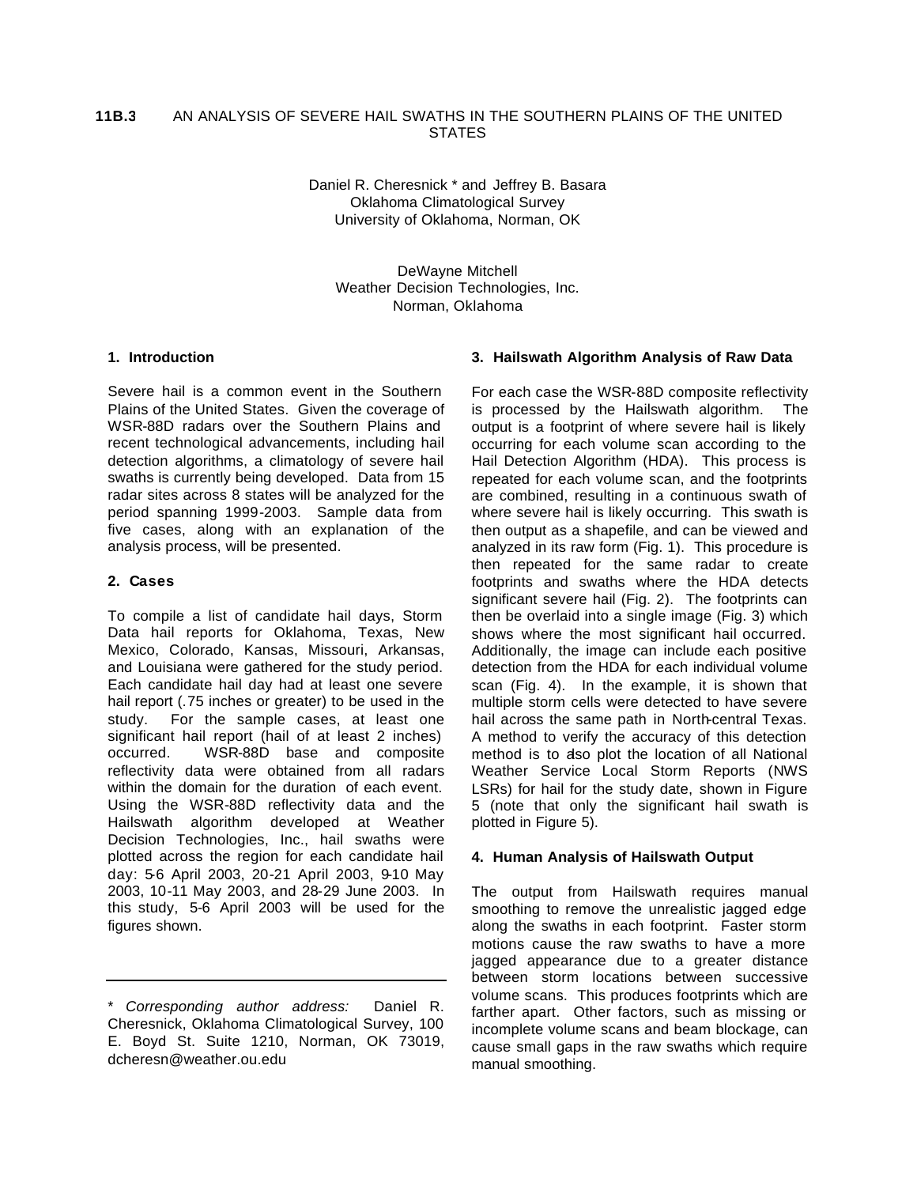#### AN ANALYSIS OF SEVERE HAIL SWATHS IN THE SOUTHERN PLAINS OF THE UNITED **STATES 11B.3**

Daniel R. Cheresnick \* and Jeffrey B. Basara Oklahoma Climatological Survey University of Oklahoma, Norman, OK

DeWayne Mitchell Weather Decision Technologies, Inc. Norman, Oklahoma

### **1. Introduction**

Severe hail is a common event in the Southern Plains of the United States. Given the coverage of WSR-88D radars over the Southern Plains and recent technological advancements, including hail detection algorithms, a climatology of severe hail swaths is currently being developed. Data from 15 radar sites across 8 states will be analyzed for the period spanning 1999-2003. Sample data from five cases, along with an explanation of the analysis process, will be presented.

## **2. Cases**

To compile a list of candidate hail days, Storm Data hail reports for Oklahoma, Texas, New Mexico, Colorado, Kansas, Missouri, Arkansas, and Louisiana were gathered for the study period. Each candidate hail day had at least one severe hail report (.75 inches or greater) to be used in the study. For the sample cases, at least one significant hail report (hail of at least 2 inches) occurred. WSR-88D base and composite reflectivity data were obtained from all radars within the domain for the duration of each event. Using the WSR-88D reflectivity data and the Hailswath algorithm developed at Weather Decision Technologies, Inc., hail swaths were plotted across the region for each candidate hail day: 5-6 April 2003, 20-21 April 2003, 9-10 May 2003, 10-11 May 2003, and 28-29 June 2003. In this study, 5-6 April 2003 will be used for the figures shown.

# **3. Hailswath Algorithm Analysis of Raw Data**

For each case the WSR-88D composite reflectivity is processed by the Hailswath algorithm. The output is a footprint of where severe hail is likely occurring for each volume scan according to the Hail Detection Algorithm (HDA). This process is repeated for each volume scan, and the footprints are combined, resulting in a continuous swath of where severe hail is likely occurring. This swath is then output as a shapefile, and can be viewed and analyzed in its raw form (Fig. 1). This procedure is then repeated for the same radar to create footprints and swaths where the HDA detects significant severe hail (Fig. 2). The footprints can then be overlaid into a single image (Fig. 3) which shows where the most significant hail occurred. Additionally, the image can include each positive detection from the HDA for each individual volume scan (Fig. 4). In the example, it is shown that multiple storm cells were detected to have severe hail across the same path in North-central Texas. A method to verify the accuracy of this detection method is to also plot the location of all National Weather Service Local Storm Reports (NWS LSRs) for hail for the study date, shown in Figure 5 (note that only the significant hail swath is plotted in Figure 5).

#### **4. Human Analysis of Hailswath Output**

The output from Hailswath requires manual smoothing to remove the unrealistic jagged edge along the swaths in each footprint. Faster storm motions cause the raw swaths to have a more jagged appearance due to a greater distance between storm locations between successive volume scans. This produces footprints which are farther apart. Other factors, such as missing or incomplete volume scans and beam blockage, can cause small gaps in the raw swaths which require manual smoothing.

<sup>\*</sup> *Corresponding author address:* Daniel R. Cheresnick, Oklahoma Climatological Survey, 100 E. Boyd St. Suite 1210, Norman, OK 73019, dcheresn@weather.ou.edu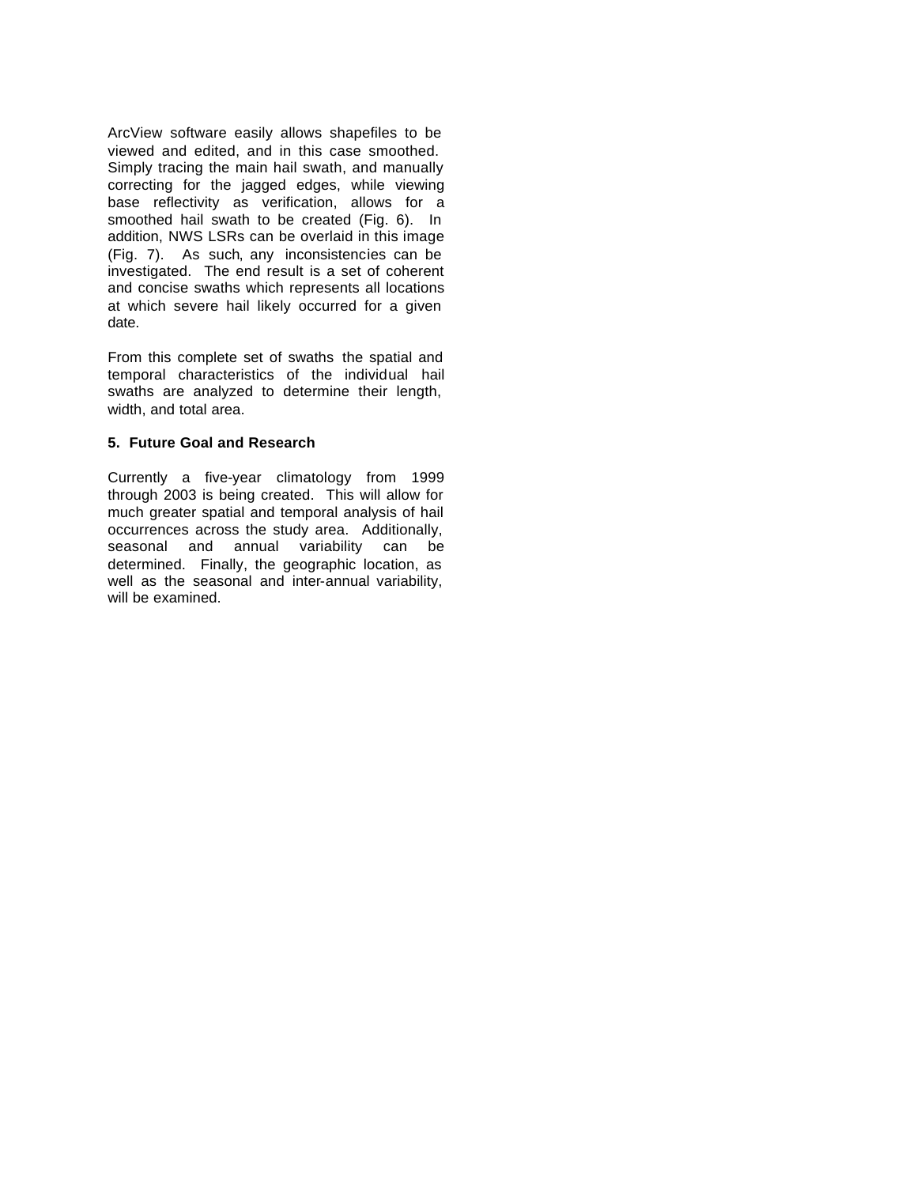ArcView software easily allows shapefiles to be viewed and edited, and in this case smoothed. Simply tracing the main hail swath, and manually correcting for the jagged edges, while viewing base reflectivity as verification, allows for a smoothed hail swath to be created (Fig. 6). In addition, NWS LSRs can be overlaid in this image (Fig. 7). As such, any inconsistencies can be investigated. The end result is a set of coherent and concise swaths which represents all locations at which severe hail likely occurred for a given date.

From this complete set of swaths the spatial and temporal characteristics of the individual hail swaths are analyzed to determine their length, width, and total area.

# **5. Future Goal and Research**

Currently a five-year climatology from 1999 through 2003 is being created. This will allow for much greater spatial and temporal analysis of hail occurrences across the study area. Additionally, seasonal and annual variability can be determined. Finally, the geographic location, as well as the seasonal and inter-annual variability, will be examined.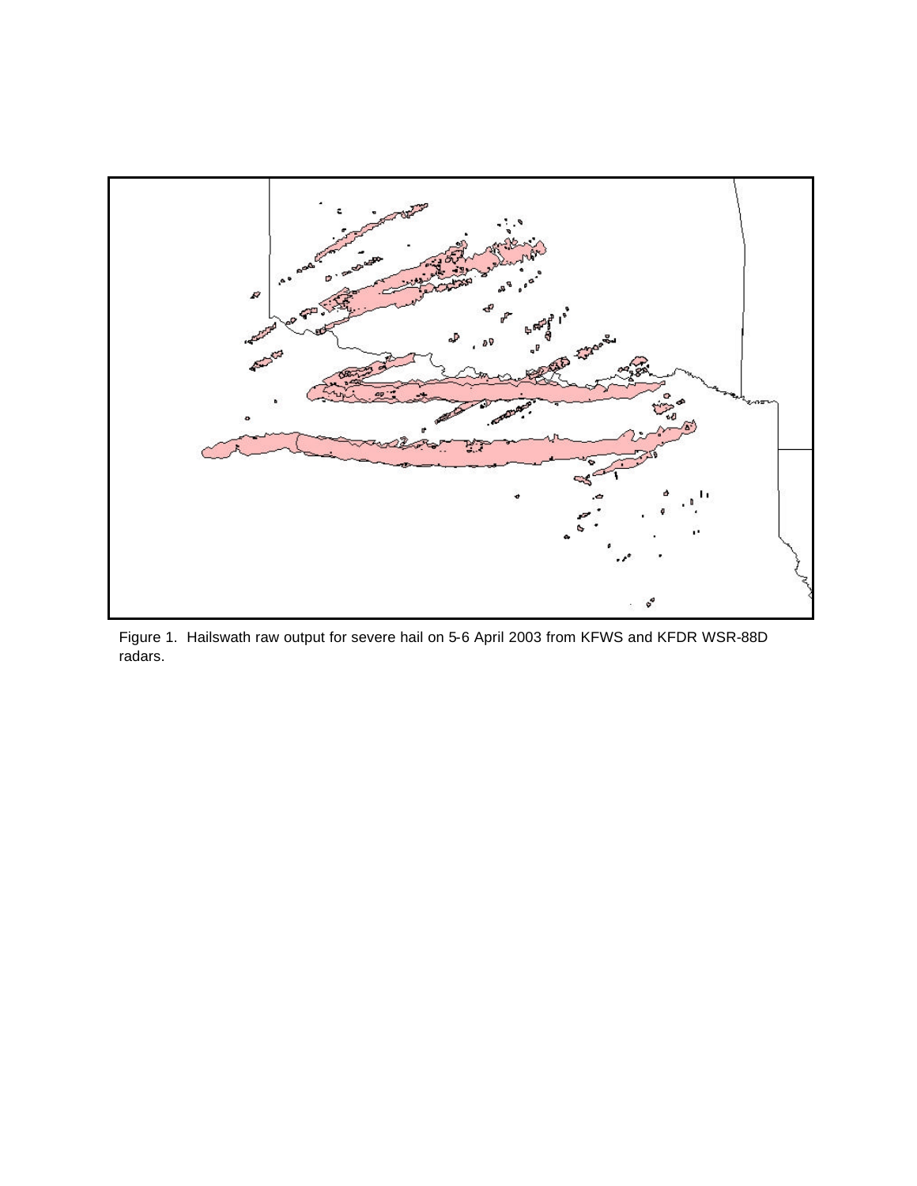

Figure 1. Hailswath raw output for severe hail on 5-6 April 2003 from KFWS and KFDR WSR-88D radars.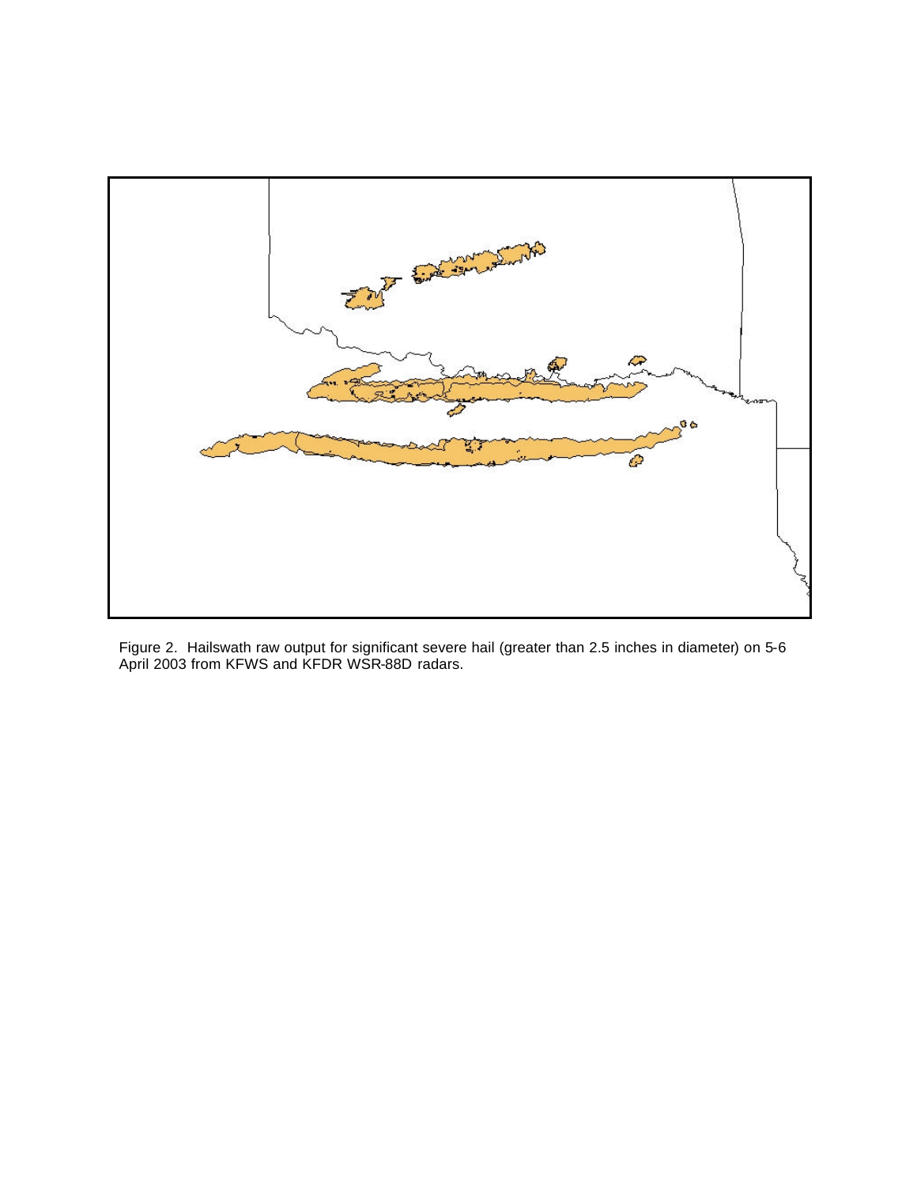

Figure 2. Hailswath raw output for significant severe hail (greater than 2.5 inches in diameter) on 5-6 April 2003 from KFWS and KFDR WSR-88D radars.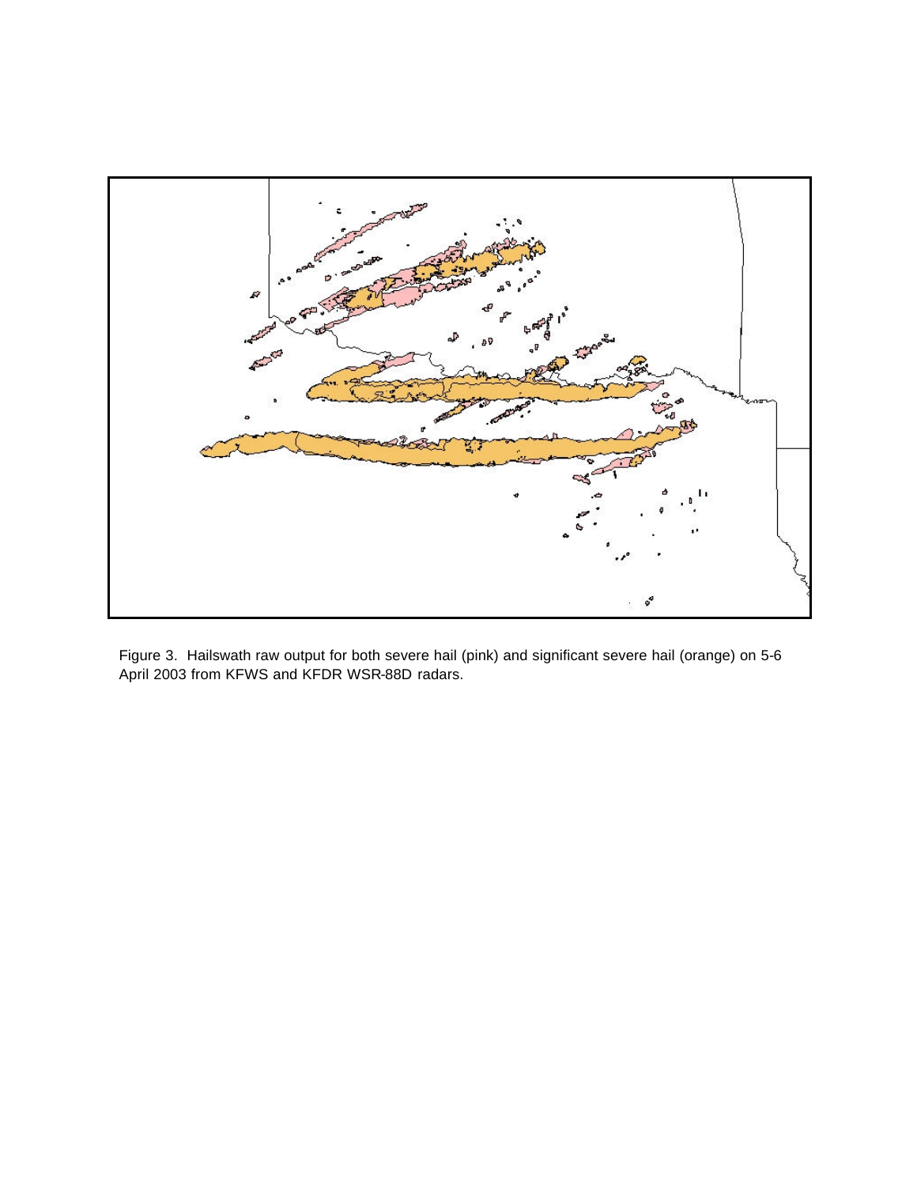

Figure 3. Hailswath raw output for both severe hail (pink) and significant severe hail (orange) on 5-6 April 2003 from KFWS and KFDR WSR-88D radars.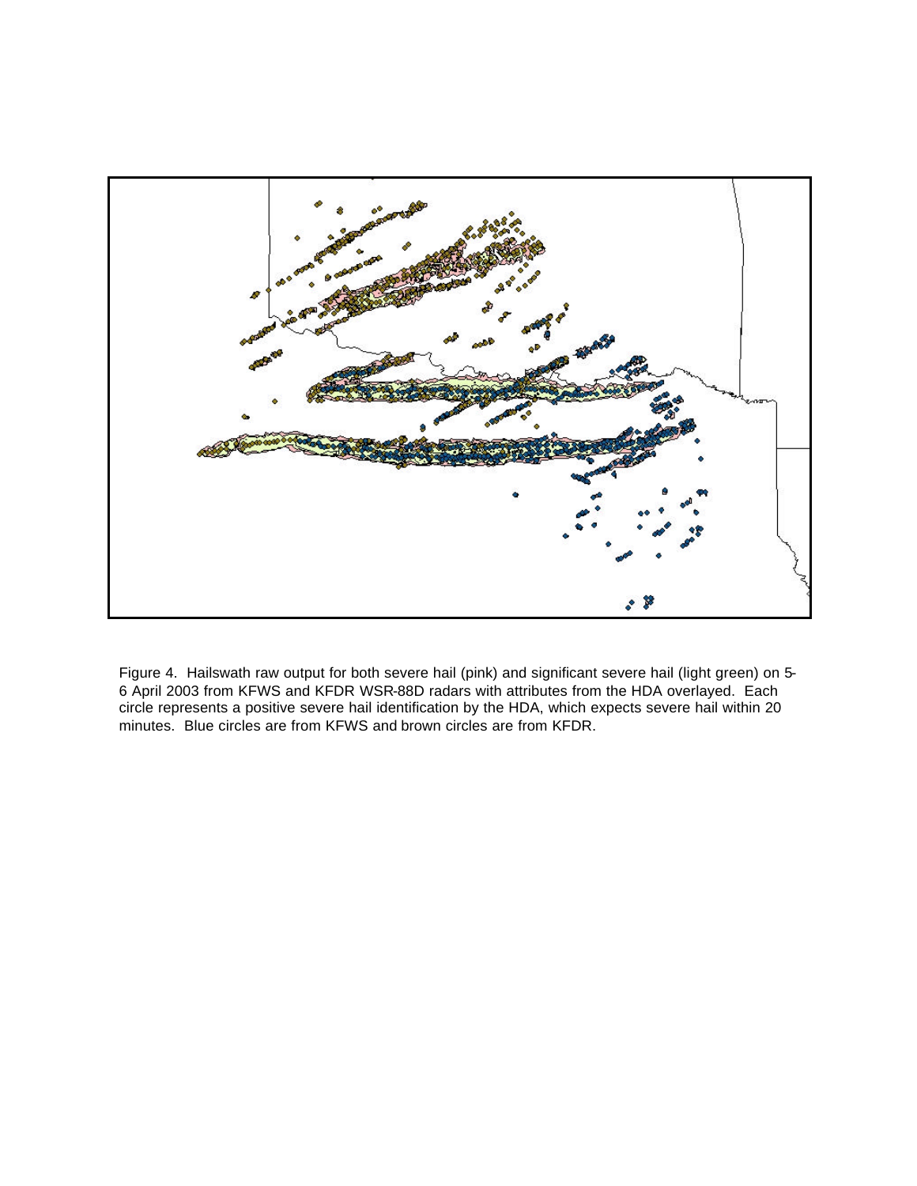

Figure 4. Hailswath raw output for both severe hail (pink) and significant severe hail (light green) on 5- 6 April 2003 from KFWS and KFDR WSR-88D radars with attributes from the HDA overlayed. Each circle represents a positive severe hail identification by the HDA, which expects severe hail within 20 minutes. Blue circles are from KFWS and brown circles are from KFDR.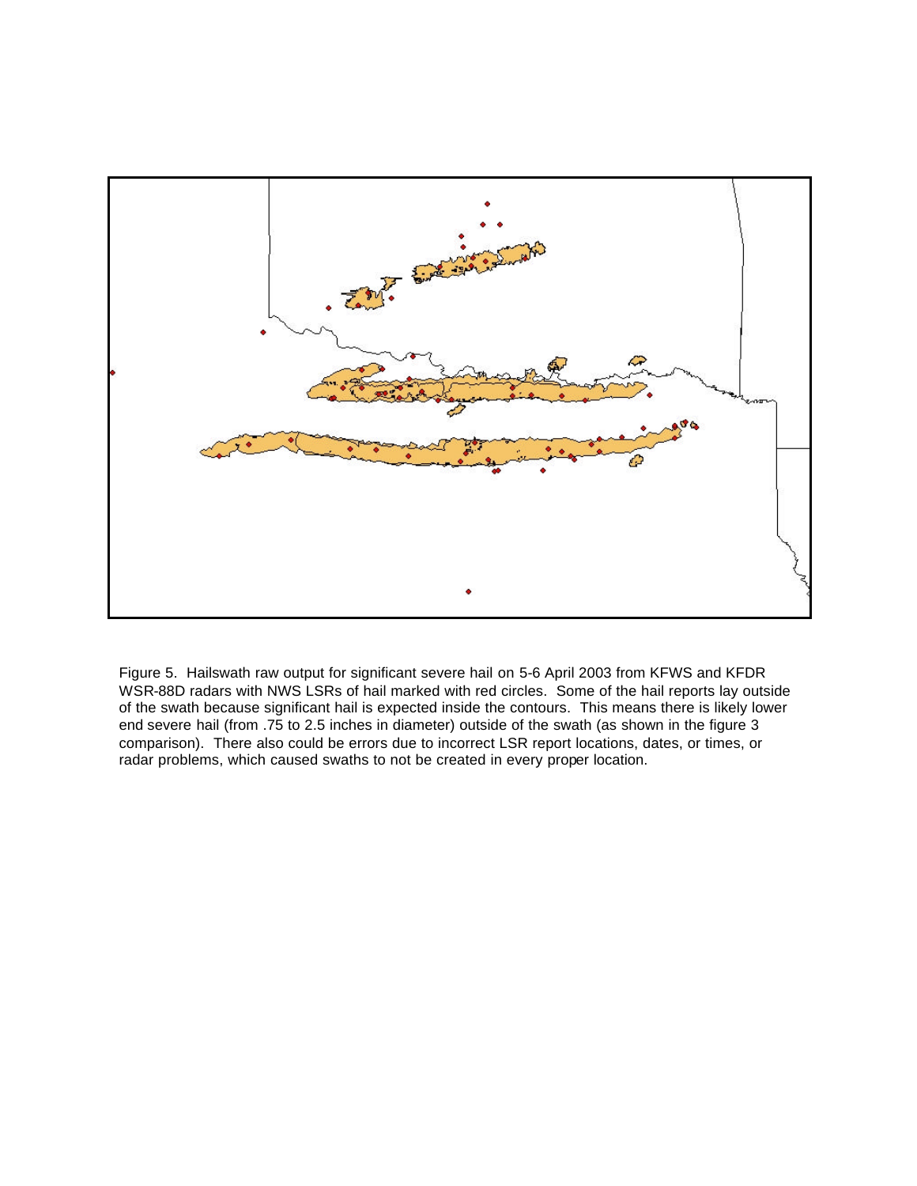

Figure 5. Hailswath raw output for significant severe hail on 5-6 April 2003 from KFWS and KFDR WSR-88D radars with NWS LSRs of hail marked with red circles. Some of the hail reports lay outside of the swath because significant hail is expected inside the contours. This means there is likely lower end severe hail (from .75 to 2.5 inches in diameter) outside of the swath (as shown in the figure 3 comparison). There also could be errors due to incorrect LSR report locations, dates, or times, or radar problems, which caused swaths to not be created in every proper location.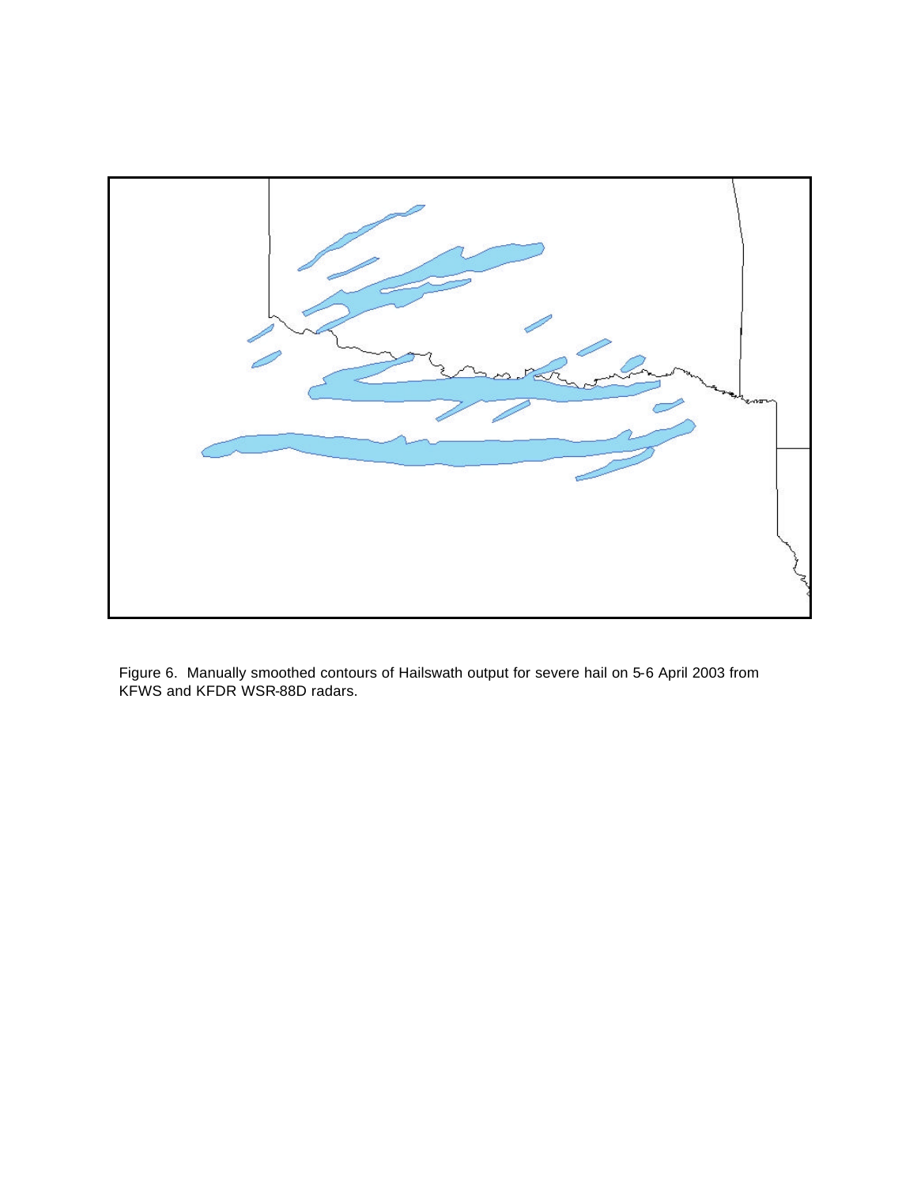

Figure 6. Manually smoothed contours of Hailswath output for severe hail on 5-6 April 2003 from KFWS and KFDR WSR-88D radars.